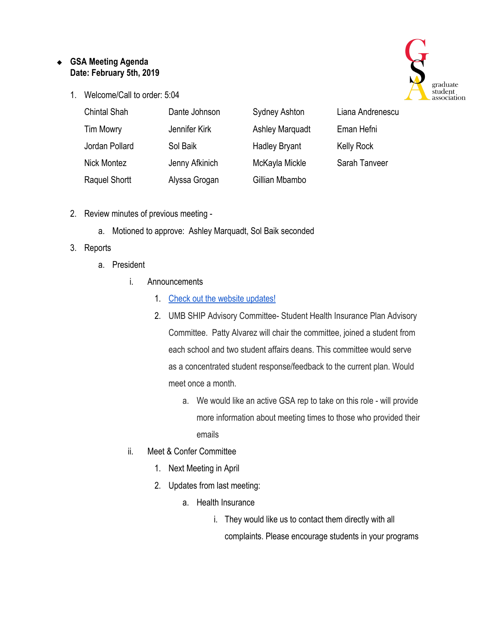# ❖ **GSA Meeting Agenda Date: February 5th, 2019**

1. Welcome/Call to order: 5:04



| <b>Chintal Shah</b> | Dante Johnson  | <b>Sydney Ashton</b>   | Liana Andrenescu |
|---------------------|----------------|------------------------|------------------|
| <b>Tim Mowry</b>    | Jennifer Kirk  | <b>Ashley Marquadt</b> | Eman Hefni       |
| Jordan Pollard      | Sol Baik       | <b>Hadley Bryant</b>   | Kelly Rock       |
| <b>Nick Montez</b>  | Jenny Afkinich | McKayla Mickle         | Sarah Tanveer    |
| Raquel Shortt       | Alyssa Grogan  | Gillian Mbambo         |                  |

- 2. Review minutes of previous meeting
	- a. Motioned to approve: Ashley Marquadt, Sol Baik seconded

# 3. Reports

- a. President
	- i. Announcements
		- 1. [Check out the website updates!](https://www.graduate.umaryland.edu/gsa/)
		- 2. UMB SHIP Advisory Committee- Student Health Insurance Plan Advisory Committee. Patty Alvarez will chair the committee, joined a student from each school and two student affairs deans. This committee would serve as a concentrated student response/feedback to the current plan. Would meet once a month.
			- a. We would like an active GSA rep to take on this role will provide more information about meeting times to those who provided their emails
	- ii. Meet & Confer Committee
		- 1. Next Meeting in April
		- 2. Updates from last meeting:
			- a. Health Insurance
				- i. They would like us to contact them directly with all complaints. Please encourage students in your programs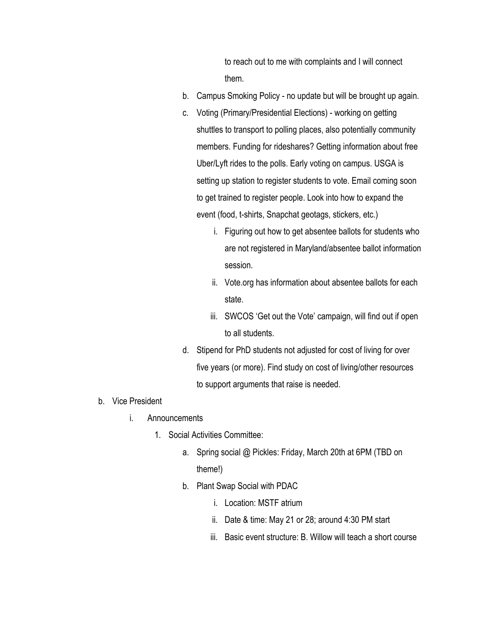to reach out to me with complaints and I will connect them.

- b. Campus Smoking Policy no update but will be brought up again.
- c. Voting (Primary/Presidential Elections) working on getting shuttles to transport to polling places, also potentially community members. Funding for rideshares? Getting information about free Uber/Lyft rides to the polls. Early voting on campus. USGA is setting up station to register students to vote. Email coming soon to get trained to register people. Look into how to expand the event (food, t-shirts, Snapchat geotags, stickers, etc.)
	- i. Figuring out how to get absentee ballots for students who are not registered in Maryland/absentee ballot information session.
	- ii. Vote.org has information about absentee ballots for each state.
	- iii. SWCOS 'Get out the Vote' campaign, will find out if open to all students.
- d. Stipend for PhD students not adjusted for cost of living for over five years (or more). Find study on cost of living/other resources to support arguments that raise is needed.
- b. Vice President
	- i. Announcements
		- 1. Social Activities Committee:
			- a. Spring social @ Pickles: Friday, March 20th at 6PM (TBD on theme!)
			- b. Plant Swap Social with PDAC
				- i. Location: MSTF atrium
				- ii. Date & time: May 21 or 28; around 4:30 PM start
				- iii. Basic event structure: B. Willow will teach a short course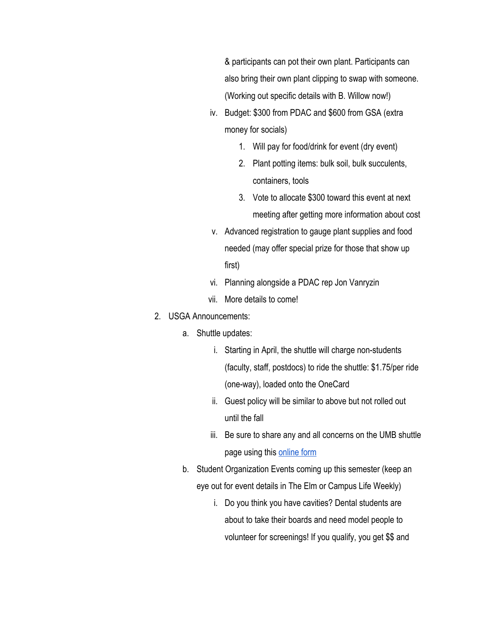& participants can pot their own plant. Participants can also bring their own plant clipping to swap with someone. (Working out specific details with B. Willow now!)

- iv. Budget: \$300 from PDAC and \$600 from GSA (extra money for socials)
	- 1. Will pay for food/drink for event (dry event)
	- 2. Plant potting items: bulk soil, bulk succulents, containers, tools
	- 3. Vote to allocate \$300 toward this event at next meeting after getting more information about cost
- v. Advanced registration to gauge plant supplies and food needed (may offer special prize for those that show up first)
- vi. Planning alongside a PDAC rep Jon Vanryzin
- vii. More details to come!

## 2. USGA Announcements:

- a. Shuttle updates:
	- i. Starting in April, the shuttle will charge non-students (faculty, staff, postdocs) to ride the shuttle: \$1.75/per ride (one-way), loaded onto the OneCard
	- ii. Guest policy will be similar to above but not rolled out until the fall
	- iii. Be sure to share any and all concerns on the UMB shuttle page using this [online form](https://www.umaryland.edu/shuttlebus/suggestions/)
- b. Student Organization Events coming up this semester (keep an eye out for event details in The Elm or Campus Life Weekly)
	- i. Do you think you have cavities? Dental students are about to take their boards and need model people to volunteer for screenings! If you qualify, you get \$\$ and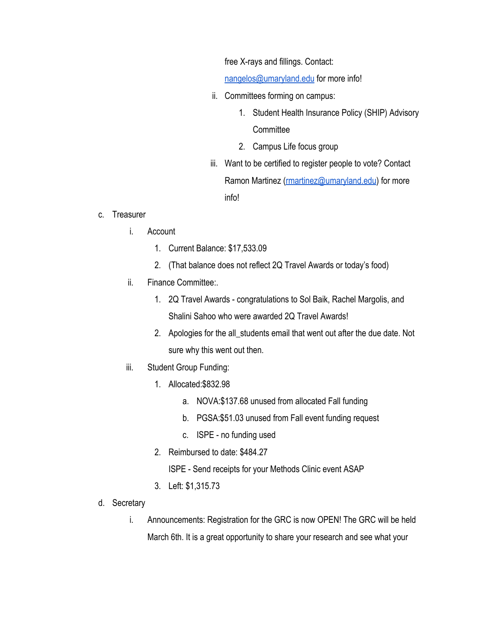free X-rays and fillings. Contact:

[nangelos@umaryland.edu](mailto:nangelos@umaryland.edu) for more info!

- ii. Committees forming on campus:
	- 1. Student Health Insurance Policy (SHIP) Advisory **Committee**
	- 2. Campus Life focus group
- iii. Want to be certified to register people to vote? Contact Ramon Martinez [\(rmartinez@umaryland.edu](mailto:rmartinez@umaryland.edu)) for more info!

### c. Treasurer

- i. Account
	- 1. Current Balance: \$17,533.09
	- 2. (That balance does not reflect 2Q Travel Awards or today's food)
- ii. Finance Committee:.
	- 1. 2Q Travel Awards congratulations to Sol Baik, Rachel Margolis, and Shalini Sahoo who were awarded 2Q Travel Awards!
	- 2. Apologies for the all\_students email that went out after the due date. Not sure why this went out then.
- iii. Student Group Funding:
	- 1. Allocated:\$832.98
		- a. NOVA:\$137.68 unused from allocated Fall funding
		- b. PGSA:\$51.03 unused from Fall event funding request
		- c. ISPE no funding used
	- 2. Reimbursed to date: \$484.27
		- ISPE Send receipts for your Methods Clinic event ASAP
	- 3. Left: \$1,315.73
- d. Secretary
	- i. Announcements: Registration for the GRC is now OPEN! The GRC will be held March 6th. It is a great opportunity to share your research and see what your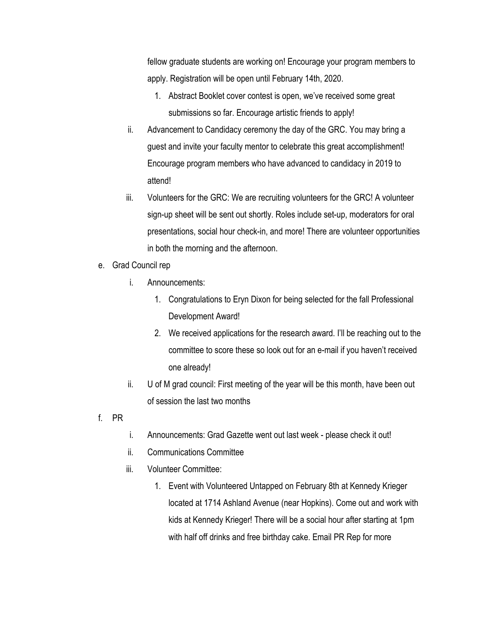fellow graduate students are working on! Encourage your program members to apply. Registration will be open until February 14th, 2020.

- 1. Abstract Booklet cover contest is open, we've received some great submissions so far. Encourage artistic friends to apply!
- ii. Advancement to Candidacy ceremony the day of the GRC. You may bring a guest and invite your faculty mentor to celebrate this great accomplishment! Encourage program members who have advanced to candidacy in 2019 to attend!
- iii. Volunteers for the GRC: We are recruiting volunteers for the GRC! A volunteer sign-up sheet will be sent out shortly. Roles include set-up, moderators for oral presentations, social hour check-in, and more! There are volunteer opportunities in both the morning and the afternoon.
- e. Grad Council rep
	- i. Announcements:
		- 1. Congratulations to Eryn Dixon for being selected for the fall Professional Development Award!
		- 2. We received applications for the research award. I'll be reaching out to the committee to score these so look out for an e-mail if you haven't received one already!
	- ii. U of M grad council: First meeting of the year will be this month, have been out of session the last two months
- f. PR
- i. Announcements: Grad Gazette went out last week please check it out!
- ii. Communications Committee
- iii. Volunteer Committee:
	- 1. Event with Volunteered Untapped on February 8th at Kennedy Krieger located at 1714 Ashland Avenue (near Hopkins). Come out and work with kids at Kennedy Krieger! There will be a social hour after starting at 1pm with half off drinks and free birthday cake. Email PR Rep for more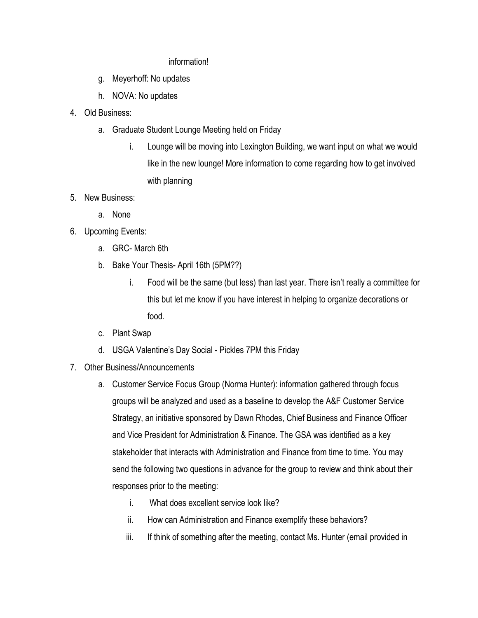### information!

- g. Meyerhoff: No updates
- h. NOVA: No updates
- 4. Old Business:
	- a. Graduate Student Lounge Meeting held on Friday
		- i. Lounge will be moving into Lexington Building, we want input on what we would like in the new lounge! More information to come regarding how to get involved with planning
- 5. New Business:
	- a. None
- 6. Upcoming Events:
	- a. GRC- March 6th
	- b. Bake Your Thesis- April 16th (5PM??)
		- i. Food will be the same (but less) than last year. There isn't really a committee for this but let me know if you have interest in helping to organize decorations or food.
	- c. Plant Swap
	- d. USGA Valentine's Day Social Pickles 7PM this Friday
- 7. Other Business/Announcements
	- a. Customer Service Focus Group (Norma Hunter): information gathered through focus groups will be analyzed and used as a baseline to develop the A&F Customer Service Strategy, an initiative sponsored by Dawn Rhodes, Chief Business and Finance Officer and Vice President for Administration & Finance. The GSA was identified as a key stakeholder that interacts with Administration and Finance from time to time. You may send the following two questions in advance for the group to review and think about their responses prior to the meeting:
		- i. What does excellent service look like?
		- ii. How can Administration and Finance exemplify these behaviors?
		- iii. If think of something after the meeting, contact Ms. Hunter (email provided in